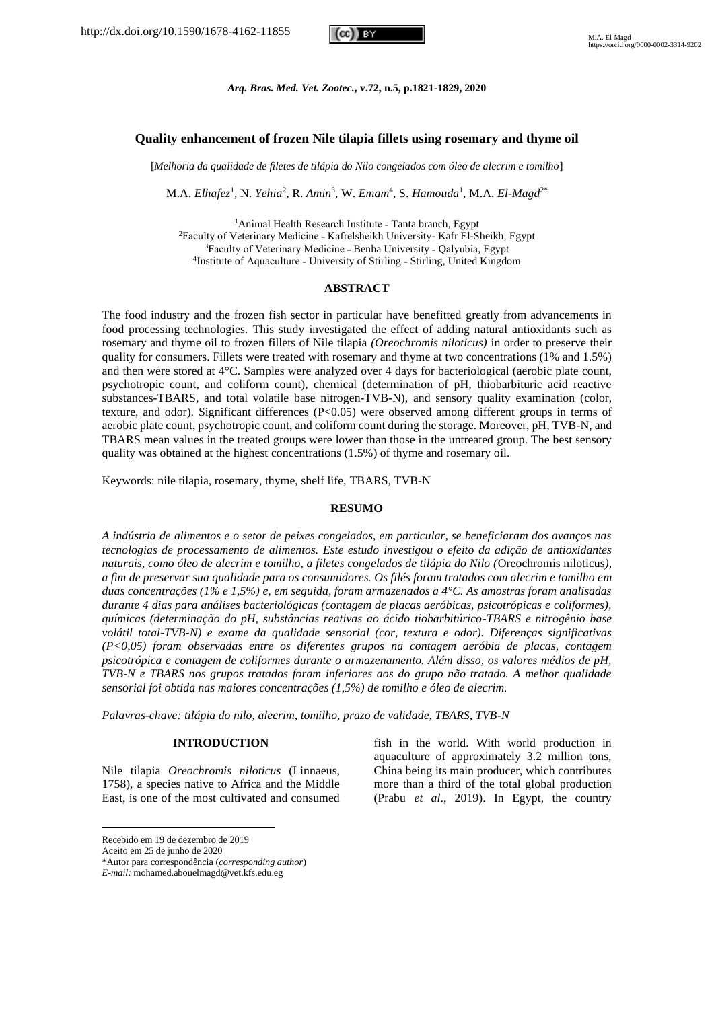

### *Arq. Bras. Med. Vet. Zootec.***, v.72, n.5, p.1821-1829, 2020**

## **Quality enhancement of frozen Nile tilapia fillets using rosemary and thyme oil**

[*Melhoria da qualidade de filetes de tilápia do Nilo congelados com óleo de alecrim e tomilho*]

M.A. *Elhafez<sup>1</sup>*, N. *Yehia<sup>2</sup>*, R. *Amin<sup>3</sup>*, W. *Emam<sup>4</sup>*, S. *Hamouda<sup>1</sup>, M.A. El-Magd<sup>2\*</sup>* 

<sup>1</sup>Animal Health Research Institute - Tanta branch, Egypt <sup>2</sup>Faculty of Veterinary Medicine - Kafrelsheikh University- Kafr El-Sheikh, Egypt <sup>3</sup>Faculty of Veterinary Medicine - Benha University - Oalyubia, Egypt <sup>4</sup>Institute of Aquaculture - University of Stirling - Stirling, United Kingdom

### **ABSTRACT**

The food industry and the frozen fish sector in particular have benefitted greatly from advancements in food processing technologies. This study investigated the effect of adding natural antioxidants such as rosemary and thyme oil to frozen fillets of Nile tilapia *(Oreochromis niloticus)* in order to preserve their quality for consumers. Fillets were treated with rosemary and thyme at two concentrations (1% and 1.5%) and then were stored at 4°C. Samples were analyzed over 4 days for bacteriological (aerobic plate count, psychotropic count, and coliform count), chemical (determination of pH, thiobarbituric acid reactive substances-TBARS, and total volatile base nitrogen-TVB-N), and sensory quality examination (color, texture, and odor). Significant differences (P<0.05) were observed among different groups in terms of aerobic plate count, psychotropic count, and coliform count during the storage. Moreover, pH, TVB-N, and TBARS mean values in the treated groups were lower than those in the untreated group. The best sensory quality was obtained at the highest concentrations (1.5%) of thyme and rosemary oil.

Keywords: nile tilapia, rosemary, thyme, shelf life, TBARS, TVB-N

# **RESUMO**

*A indústria de alimentos e o setor de peixes congelados, em particular, se beneficiaram dos avanços nas tecnologias de processamento de alimentos. Este estudo investigou o efeito da adição de antioxidantes naturais, como óleo de alecrim e tomilho, a filetes congelados de tilápia do Nilo (*Oreochromis niloticus*), a fim de preservar sua qualidade para os consumidores. Os filés foram tratados com alecrim e tomilho em duas concentrações (1% e 1,5%) e, em seguida, foram armazenados a 4°C. As amostras foram analisadas durante 4 dias para análises bacteriológicas (contagem de placas aeróbicas, psicotrópicas e coliformes), químicas (determinação do pH, substâncias reativas ao ácido tiobarbitúrico-TBARS e nitrogênio base volátil total-TVB-N) e exame da qualidade sensorial (cor, textura e odor). Diferenças significativas (P<0,05) foram observadas entre os diferentes grupos na contagem aeróbia de placas, contagem psicotrópica e contagem de coliformes durante o armazenamento. Além disso, os valores médios de pH, TVB-N e TBARS nos grupos tratados foram inferiores aos do grupo não tratado. A melhor qualidade sensorial foi obtida nas maiores concentrações (1,5%) de tomilho e óleo de alecrim.*

*Palavras-chave: tilápia do nilo, alecrim, tomilho, prazo de validade, TBARS, TVB-N*

### **INTRODUCTION**

Nile tilapia *Oreochromis niloticus* (Linnaeus, 1758), a species native to Africa and the Middle East, is one of the most cultivated and consumed

Recebido em 19 de dezembro de 2019

Aceito em 25 de junho de 2020

\*Autor para correspondência (*corresponding author*)

*E-mail:* mohamed.abouelmagd@vet.kfs.edu.eg

fish in the world. With world production in aquaculture of approximately 3.2 million tons, China being its main producer, which contributes more than a third of the total global production (Prabu *et al*., 2019). In Egypt, the country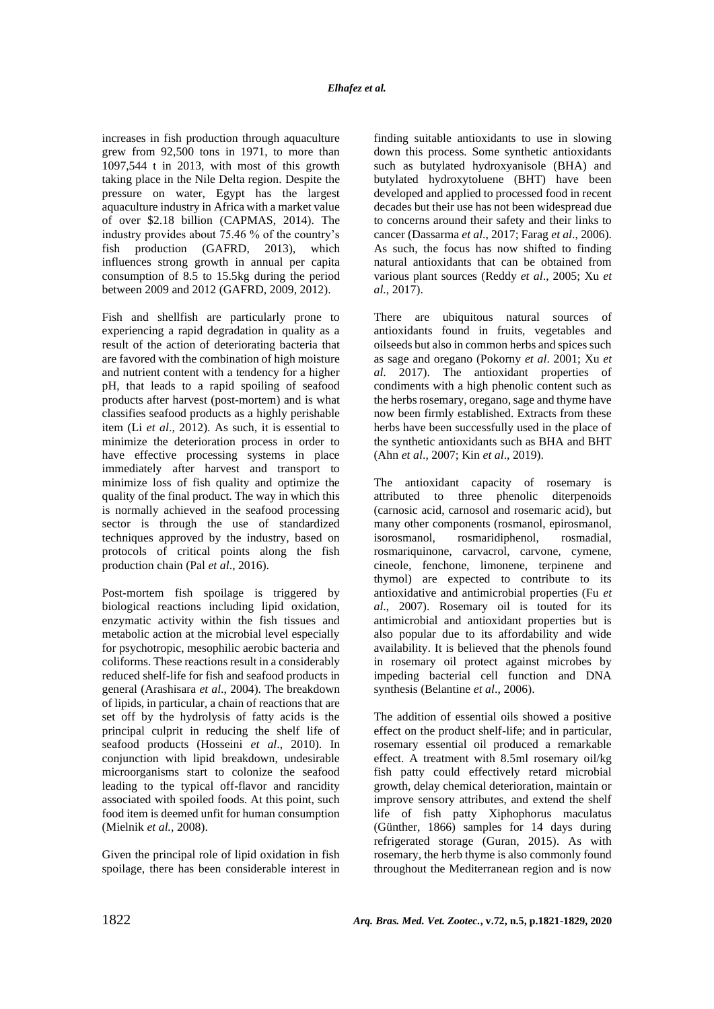increases in fish production through aquaculture grew from 92,500 tons in 1971, to more than 1097,544 t in 2013, with most of this growth taking place in the Nile Delta region. Despite the pressure on water, Egypt has the largest aquaculture industry in Africa with a market value of over \$2.18 billion (CAPMAS, 2014). The industry provides about 75.46 % of the country's fish production (GAFRD, 2013), which influences strong growth in annual per capita consumption of 8.5 to 15.5kg during the period between 2009 and 2012 (GAFRD, 2009, 2012).

Fish and shellfish are particularly prone to experiencing a rapid degradation in quality as a result of the action of deteriorating bacteria that are favored with the combination of high moisture and nutrient content with a tendency for a higher pH, that leads to a rapid spoiling of seafood products after harvest (post-mortem) and is what classifies seafood products as a highly perishable item (Li *et al*., 2012). As such, it is essential to minimize the deterioration process in order to have effective processing systems in place immediately after harvest and transport to minimize loss of fish quality and optimize the quality of the final product. The way in which this is normally achieved in the seafood processing sector is through the use of standardized techniques approved by the industry, based on protocols of critical points along the fish production chain (Pal *et al*., 2016).

Post-mortem fish spoilage is triggered by biological reactions including lipid oxidation, enzymatic activity within the fish tissues and metabolic action at the microbial level especially for psychotropic, mesophilic aerobic bacteria and coliforms. These reactions result in a considerably reduced shelf-life for fish and seafood products in general (Arashisara *et al*., 2004). The breakdown of lipids, in particular, a chain of reactions that are set off by the hydrolysis of fatty acids is the principal culprit in reducing the shelf life of seafood products (Hosseini *et al*., 2010). In conjunction with lipid breakdown, undesirable microorganisms start to colonize the seafood leading to the typical off-flavor and rancidity associated with spoiled foods. At this point, such food item is deemed unfit for human consumption (Mielnik *et al.,* 2008).

Given the principal role of lipid oxidation in fish spoilage, there has been considerable interest in finding suitable antioxidants to use in slowing down this process. Some synthetic antioxidants such as butylated hydroxyanisole (BHA) and butylated hydroxytoluene (BHT) have been developed and applied to processed food in recent decades but their use has not been widespread due to concerns around their safety and their links to cancer (Dassarma *et al*., 2017; Farag *et al*., 2006). As such, the focus has now shifted to finding natural antioxidants that can be obtained from various plant sources (Reddy *et al*., 2005; Xu *et al*., 2017).

There are ubiquitous natural sources of antioxidants found in fruits, vegetables and oilseeds but also in common herbs and spices such as sage and oregano (Pokorny *et al*. 2001; Xu *et al*. 2017). The antioxidant properties of condiments with a high phenolic content such as the herbs rosemary, oregano, sage and thyme have now been firmly established. Extracts from these herbs have been successfully used in the place of the synthetic antioxidants such as BHA and BHT (Ahn *et al*., 2007; Kin *et al*., 2019).

The antioxidant capacity of rosemary is attributed to three phenolic diterpenoids (carnosic acid, carnosol and rosemaric acid), but many other components (rosmanol, epirosmanol, isorosmanol, rosmaridiphenol, rosmadial, rosmariquinone, carvacrol, carvone, cymene, cineole, fenchone, limonene, terpinene and thymol) are expected to contribute to its antioxidative and antimicrobial properties (Fu *et al*., 2007). Rosemary oil is touted for its antimicrobial and antioxidant properties but is also popular due to its affordability and wide availability. It is believed that the phenols found in rosemary oil protect against microbes by impeding bacterial cell function and DNA synthesis (Belantine *et al*., 2006).

The addition of essential oils showed a positive effect on the product shelf-life; and in particular, rosemary essential oil produced a remarkable effect. A treatment with 8.5ml rosemary oil/kg fish patty could effectively retard microbial growth, delay chemical deterioration, maintain or improve sensory attributes, and extend the shelf life of fish patty Xiphophorus maculatus (Günther, 1866) samples for 14 days during refrigerated storage (Guran, 2015). As with rosemary, the herb thyme is also commonly found throughout the Mediterranean region and is now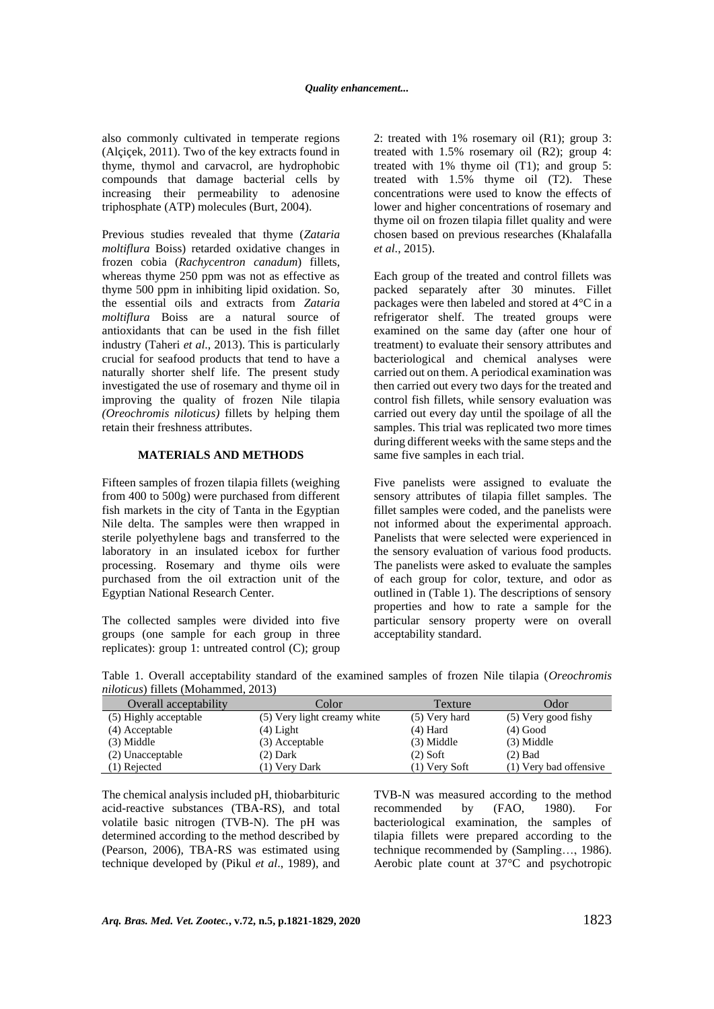also commonly cultivated in temperate regions (Alçiçek, 2011). Two of the key extracts found in thyme, thymol and carvacrol, are hydrophobic compounds that damage bacterial cells by increasing their permeability to adenosine triphosphate (ATP) molecules (Burt, 2004).

Previous studies revealed that thyme (*Zataria moltiflura* Boiss) retarded oxidative changes in frozen cobia (*Rachycentron canadum*) fillets, whereas thyme 250 ppm was not as effective as thyme 500 ppm in inhibiting lipid oxidation. So, the essential oils and extracts from *Zataria moltiflura* Boiss are a natural source of antioxidants that can be used in the fish fillet industry (Taheri *et al*., 2013). This is particularly crucial for seafood products that tend to have a naturally shorter shelf life. The present study investigated the use of rosemary and thyme oil in improving the quality of frozen Nile tilapia *(Oreochromis niloticus)* fillets by helping them retain their freshness attributes.

## **MATERIALS AND METHODS**

Fifteen samples of frozen tilapia fillets (weighing from 400 to 500g) were purchased from different fish markets in the city of Tanta in the Egyptian Nile delta. The samples were then wrapped in sterile polyethylene bags and transferred to the laboratory in an insulated icebox for further processing. Rosemary and thyme oils were purchased from the oil extraction unit of the Egyptian National Research Center.

The collected samples were divided into five groups (one sample for each group in three replicates): group 1: untreated control (C); group 2: treated with 1% rosemary oil (R1); group 3: treated with 1.5% rosemary oil (R2); group 4: treated with 1% thyme oil (T1); and group 5: treated with 1.5% thyme oil (T2). These concentrations were used to know the effects of lower and higher concentrations of rosemary and thyme oil on frozen tilapia fillet quality and were chosen based on previous researches (Khalafalla *et al*., 2015).

Each group of the treated and control fillets was packed separately after 30 minutes. Fillet packages were then labeled and stored at 4°C in a refrigerator shelf. The treated groups were examined on the same day (after one hour of treatment) to evaluate their sensory attributes and bacteriological and chemical analyses were carried out on them. A periodical examination was then carried out every two days for the treated and control fish fillets, while sensory evaluation was carried out every day until the spoilage of all the samples. This trial was replicated two more times during different weeks with the same steps and the same five samples in each trial.

Five panelists were assigned to evaluate the sensory attributes of tilapia fillet samples. The fillet samples were coded, and the panelists were not informed about the experimental approach. Panelists that were selected were experienced in the sensory evaluation of various food products. The panelists were asked to evaluate the samples of each group for color, texture, and odor as outlined in (Table 1). The descriptions of sensory properties and how to rate a sample for the particular sensory property were on overall acceptability standard.

Table 1. Overall acceptability standard of the examined samples of frozen Nile tilapia (*Oreochromis niloticus*) fillets (Mohammed, 2013)

| Overall acceptability | Color                       | Texture         | Odor                   |
|-----------------------|-----------------------------|-----------------|------------------------|
| (5) Highly acceptable | (5) Very light creamy white | $(5)$ Very hard | $(5)$ Very good fishy  |
| (4) Acceptable        | $(4)$ Light                 | $(4)$ Hard      | $(4)$ Good             |
| $(3)$ Middle          | (3) Acceptable              | $(3)$ Middle    | $(3)$ Middle           |
| (2) Unacceptable      | $(2)$ Dark                  | $(2)$ Soft      | $(2)$ Bad              |
| (1) Rejected          | (1) Very Dark               | $(1)$ Very Soft | (1) Very bad offensive |

The chemical analysis included pH, thiobarbituric acid-reactive substances (TBA-RS), and total volatile basic nitrogen (TVB-N). The pH was determined according to the method described by (Pearson, 2006), TBA-RS was estimated using technique developed by (Pikul *et al*., 1989), and TVB-N was measured according to the method recommended by (FAO, 1980). For bacteriological examination, the samples of tilapia fillets were prepared according to the technique recommended by (Sampling…, 1986). Aerobic plate count at 37°C and psychotropic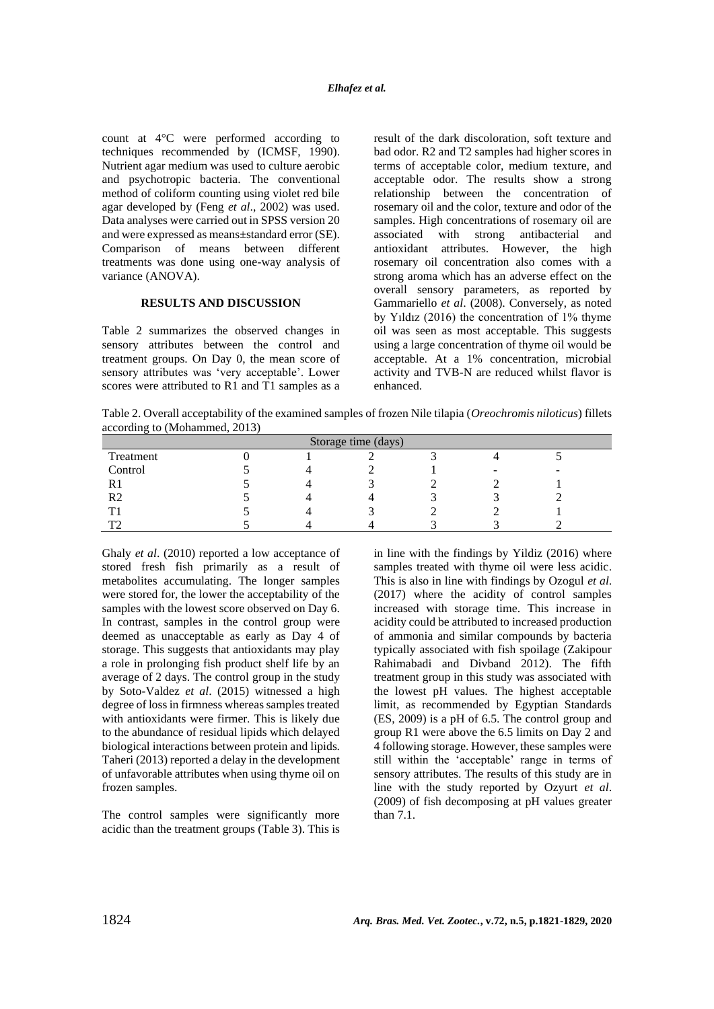count at 4°C were performed according to techniques recommended by (ICMSF, 1990). Nutrient agar medium was used to culture aerobic and psychotropic bacteria. The conventional method of coliform counting using violet red bile agar developed by (Feng *et al*., 2002) was used. Data analyses were carried out in SPSS version 20 and were expressed as means±standard error (SE). Comparison of means between different treatments was done using one-way analysis of variance (ANOVA).

# **RESULTS AND DISCUSSION**

Table 2 summarizes the observed changes in sensory attributes between the control and treatment groups. On Day 0, the mean score of sensory attributes was 'very acceptable'. Lower scores were attributed to R1 and T1 samples as a result of the dark discoloration, soft texture and bad odor. R2 and T2 samples had higher scores in terms of acceptable color, medium texture, and acceptable odor. The results show a strong relationship between the concentration of rosemary oil and the color, texture and odor of the samples. High concentrations of rosemary oil are associated with strong antibacterial and antioxidant attributes. However, the high rosemary oil concentration also comes with a strong aroma which has an adverse effect on the overall sensory parameters, as reported by Gammariello *et al*. (2008). Conversely, as noted by Yıldız (2016) the concentration of 1% thyme oil was seen as most acceptable. This suggests using a large concentration of thyme oil would be acceptable. At a 1% concentration, microbial activity and TVB-N are reduced whilst flavor is enhanced.

Table 2. Overall acceptability of the examined samples of frozen Nile tilapia (*Oreochromis niloticus*) fillets according to (Mohammed, 2013)

| Storage time (days) |  |  |  |  |                          |  |
|---------------------|--|--|--|--|--------------------------|--|
| Treatment           |  |  |  |  |                          |  |
| Control             |  |  |  |  | $\overline{\phantom{a}}$ |  |
|                     |  |  |  |  |                          |  |
| R2                  |  |  |  |  |                          |  |
|                     |  |  |  |  |                          |  |
| mо.                 |  |  |  |  |                          |  |

Ghaly *et al*. (2010) reported a low acceptance of stored fresh fish primarily as a result of metabolites accumulating. The longer samples were stored for, the lower the acceptability of the samples with the lowest score observed on Day 6. In contrast, samples in the control group were deemed as unacceptable as early as Day 4 of storage. This suggests that antioxidants may play a role in prolonging fish product shelf life by an average of 2 days. The control group in the study by Soto-Valdez *et al*. (2015) witnessed a high degree of loss in firmness whereas samples treated with antioxidants were firmer. This is likely due to the abundance of residual lipids which delayed biological interactions between protein and lipids. Taheri (2013) reported a delay in the development of unfavorable attributes when using thyme oil on frozen samples.

The control samples were significantly more acidic than the treatment groups (Table 3). This is in line with the findings by Yildiz (2016) where samples treated with thyme oil were less acidic. This is also in line with findings by Ozogul *et al*. (2017) where the acidity of control samples increased with storage time. This increase in acidity could be attributed to increased production of ammonia and similar compounds by bacteria typically associated with fish spoilage (Zakipour Rahimabadi and Divband 2012). The fifth treatment group in this study was associated with the lowest pH values. The highest acceptable limit, as recommended by Egyptian Standards (ES, 2009) is a pH of 6.5. The control group and group R1 were above the 6.5 limits on Day 2 and 4 following storage. However, these samples were still within the 'acceptable' range in terms of sensory attributes. The results of this study are in line with the study reported by Ozyurt *et al*. (2009) of fish decomposing at pH values greater than 7.1.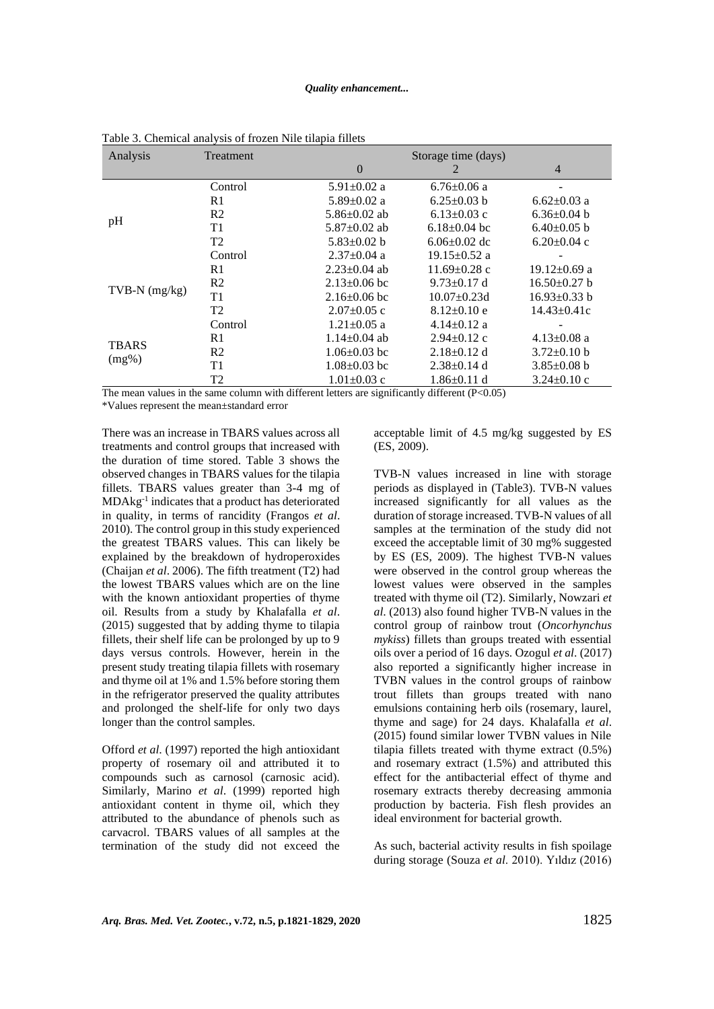### *Quality enhancement...*

| Analysis                 | Treatment                             | Storage time (days)                                                                                      |                    |                    |
|--------------------------|---------------------------------------|----------------------------------------------------------------------------------------------------------|--------------------|--------------------|
|                          |                                       | $\theta$                                                                                                 |                    | $\overline{4}$     |
| pH                       | Control                               | $5.91 \pm 0.02$ a                                                                                        | $6.76 \pm 0.06$ a  |                    |
|                          | R1                                    | $5.89 \pm 0.02$ a                                                                                        | $6.25 \pm 0.03$ b  | $6.62 \pm 0.03$ a  |
|                          | R <sub>2</sub>                        | 5.86 $\pm$ 0.02 ab                                                                                       | $6.13 \pm 0.03$ c  | $6.36 \pm 0.04$ b  |
|                          | T1                                    | $5.87 \pm 0.02$ ab                                                                                       | $6.18 \pm 0.04$ bc | $6.40\pm0.05$ b    |
|                          | T2                                    | $5.83 \pm 0.02$ b                                                                                        | $6.06 \pm 0.02$ dc | $6.20 \pm 0.04$ c  |
|                          | Control                               | $2.37 \pm 0.04$ a                                                                                        | $19.15 \pm 0.52$ a |                    |
| $TVB-N$ (mg/kg)          | R1                                    | $2.23 \pm 0.04$ ab                                                                                       | $11.69 \pm 0.28$ c | $19.12 \pm 0.69$ a |
|                          | R <sub>2</sub>                        | $2.13 \pm 0.06$ bc                                                                                       | $9.73 \pm 0.17$ d  | $16.50\pm0.27$ b   |
|                          | T1                                    | $2.16 \pm 0.06$ bc                                                                                       | $10.07 \pm 0.23$ d | $16.93 \pm 0.33$ b |
|                          | T <sub>2</sub>                        | $2.07 \pm 0.05$ c                                                                                        | $8.12 \pm 0.10$ e  | $14.43 \pm 0.41c$  |
| <b>TBARS</b><br>$(mg\%)$ | Control                               | $1.21 \pm 0.05$ a                                                                                        | $4.14 \pm 0.12$ a  |                    |
|                          | R1                                    | $1.14 \pm 0.04$ ab                                                                                       | $2.94 \pm 0.12$ c  | $4.13 \pm 0.08$ a  |
|                          | R <sub>2</sub>                        | $1.06 \pm 0.03$ bc                                                                                       | $2.18\pm0.12$ d    | $3.72 \pm 0.10$ b  |
|                          | T1                                    | $1.08 \pm 0.03$ bc                                                                                       | $2.38 \pm 0.14$ d  | $3.85 \pm 0.08$ b  |
|                          | T <sub>2</sub><br>$-1$ $-1$ $-1$ $-1$ | $1.01 \pm 0.03$ c<br>$\cdot$ 1 $\cdot$ $\cdot$ $\cdot$ $\cdot$ $\cdot$ $\cdot$<br>$\cdot$ $\cdot$ $\sim$ | $1.86 \pm 0.11$ d  | $3.24 \pm 0.10$ c  |

Table 3. Chemical analysis of frozen Nile tilapia fillets

The mean values in the same column with different letters are significantly different (P<0.05)

\*Values represent the mean±standard error

There was an increase in TBARS values across all treatments and control groups that increased with the duration of time stored. Table 3 shows the observed changes in TBARS values for the tilapia fillets. TBARS values greater than 3-4 mg of MDAkg-1 indicates that a product has deteriorated in quality, in terms of rancidity (Frangos *et al*. 2010). The control group in this study experienced the greatest TBARS values. This can likely be explained by the breakdown of hydroperoxides (Chaijan *et al*. 2006). The fifth treatment (T2) had the lowest TBARS values which are on the line with the known antioxidant properties of thyme oil. Results from a study by Khalafalla *et al*. (2015) suggested that by adding thyme to tilapia fillets, their shelf life can be prolonged by up to 9 days versus controls. However, herein in the present study treating tilapia fillets with rosemary and thyme oil at 1% and 1.5% before storing them in the refrigerator preserved the quality attributes and prolonged the shelf-life for only two days longer than the control samples.

Offord *et al*. (1997) reported the high antioxidant property of rosemary oil and attributed it to compounds such as carnosol (carnosic acid). Similarly, Marino *et al*. (1999) reported high antioxidant content in thyme oil, which they attributed to the abundance of phenols such as carvacrol. TBARS values of all samples at the termination of the study did not exceed the acceptable limit of 4.5 mg/kg suggested by ES (ES, 2009).

TVB-N values increased in line with storage periods as displayed in (Table3). TVB-N values increased significantly for all values as the duration of storage increased. TVB-N values of all samples at the termination of the study did not exceed the acceptable limit of 30 mg% suggested by ES (ES, 2009). The highest TVB-N values were observed in the control group whereas the lowest values were observed in the samples treated with thyme oil (T2). Similarly, Nowzari *et al*. (2013) also found higher TVB-N values in the control group of rainbow trout (*Oncorhynchus mykiss*) fillets than groups treated with essential oils over a period of 16 days. Ozogul *et al*. (2017) also reported a significantly higher increase in TVBN values in the control groups of rainbow trout fillets than groups treated with nano emulsions containing herb oils (rosemary, laurel, thyme and sage) for 24 days. Khalafalla *et al*. (2015) found similar lower TVBN values in Nile tilapia fillets treated with thyme extract (0.5%) and rosemary extract (1.5%) and attributed this effect for the antibacterial effect of thyme and rosemary extracts thereby decreasing ammonia production by bacteria. Fish flesh provides an ideal environment for bacterial growth.

As such, bacterial activity results in fish spoilage during storage (Souza *et al*. 2010). Yıldız (2016)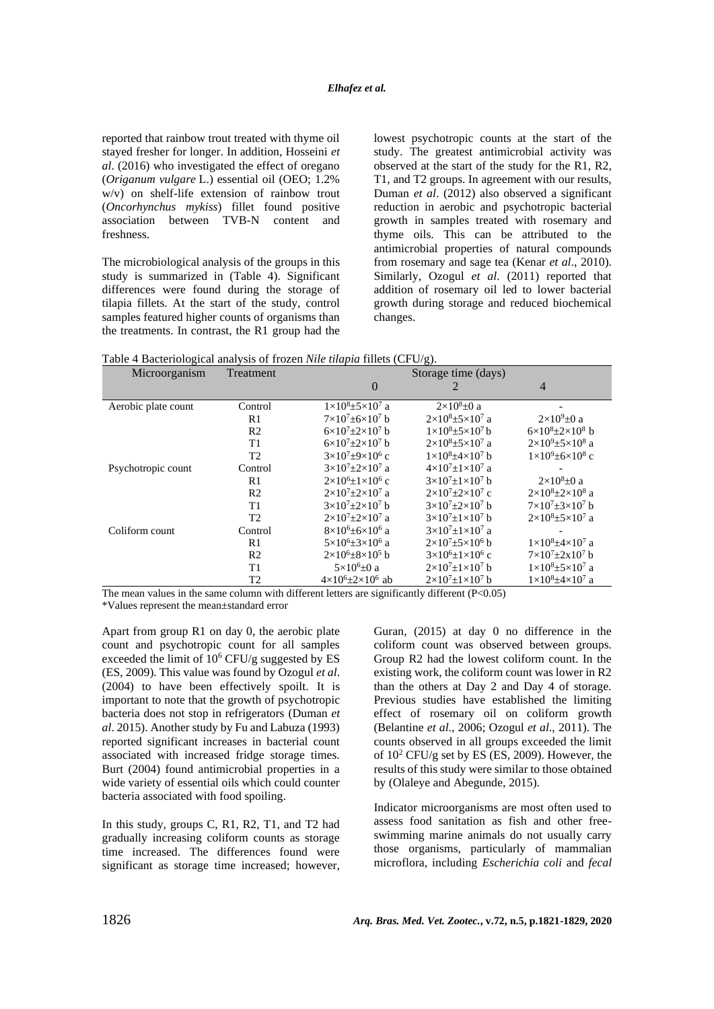reported that rainbow trout treated with thyme oil stayed fresher for longer. In addition, Hosseini *et al*. (2016) who investigated the effect of oregano (*Origanum vulgare* L.) essential oil (OEO; 1.2% w/v) on shelf-life extension of rainbow trout (*Oncorhynchus mykiss*) fillet found positive association between TVB-N content and freshness.

The microbiological analysis of the groups in this study is summarized in (Table 4). Significant differences were found during the storage of tilapia fillets. At the start of the study, control samples featured higher counts of organisms than the treatments. In contrast, the R1 group had the lowest psychotropic counts at the start of the study. The greatest antimicrobial activity was observed at the start of the study for the R1, R2, T1, and T2 groups. In agreement with our results, Duman *et al*. (2012) also observed a significant reduction in aerobic and psychotropic bacterial growth in samples treated with rosemary and thyme oils. This can be attributed to the antimicrobial properties of natural compounds from rosemary and sage tea (Kenar *et al*., 2010). Similarly, Ozogul *et al*. (2011) reported that addition of rosemary oil led to lower bacterial growth during storage and reduced biochemical changes.

Table 4 Bacteriological analysis of frozen *Nile tilapia* fillets (CFU/g).

| Microorganism       | Treatment      | ے<br>Storage time (days)             |                                      |                                       |
|---------------------|----------------|--------------------------------------|--------------------------------------|---------------------------------------|
|                     |                | $\theta$                             |                                      | $\overline{4}$                        |
| Aerobic plate count | Control        | $1\times10^{8}+5\times10^{7}$ a      | $2\times10^8 \pm 0$ a                |                                       |
|                     | R1             | $7\times10^{7} + 6\times10^{7}$ b    | $2\times10^{8}+5\times10^{7}$ a      | $2\times10^9$ ±0 a                    |
|                     | R <sub>2</sub> | $6\times10^{7}+2\times10^{7}$ b      | $1\times10^{8}+5\times10^{7}$ b      | $6\times10^{8}+2\times10^{8}$ b       |
|                     | T <sub>1</sub> | $6\times10^{7}+2\times10^{7}$ b      | $2\times10^{8}+5\times10^{7}$ a      | $2\times10^{9}$ ±5×10 <sup>8</sup> a  |
|                     | T <sub>2</sub> | $3\times10^{7}+9\times10^{6}$ c      | $1\times10^{8}+4\times10^{7}$ b      | $1\times10^{9}$ ± 6 $\times10^{8}$ c  |
| Psychotropic count  | Control        | $3\times10^{7}+2\times10^{7}$ a      | $4\times10^{7}+1\times10^{7}$ a      |                                       |
|                     | R1             | $2\times10^{6}+1\times10^{6}$ c      | $3\times10^{7}+1\times10^{7}$ b      | $2\times10^{8}+0$ a                   |
|                     | R <sub>2</sub> | $2\times10^{7}+2\times10^{7}$ a      | $2\times10^{7}+2\times10^{7}$ c      | $2\times10^{8}+2\times10^{8}$ a       |
|                     | T <sub>1</sub> | $3\times10^{7}+2\times10^{7}$ b      | $3\times10^{7}+2\times10^{7}$ b      | $7\times10^{7}+3\times10^{7}$ b       |
|                     | T <sub>2</sub> | $2\times10^{7}+2\times10^{7}$ a      | $3\times10^{7}$ +1×10 <sup>7</sup> b | $2\times10^{8}+5\times10^{7}$ a       |
| Coliform count      | Control        | $8\times10^{6} + 6\times10^{6}$ a    | $3\times10^{7}+1\times10^{7}$ a      |                                       |
|                     | R1             | $5\times10^{6}+3\times10^{6}$ a      | $2\times10^{7}+5\times10^{6}$ b      | $1 \times 10^{8} + 4 \times 10^{7}$ a |
|                     | R <sub>2</sub> | $2\times10^{6}+8\times10^{5}$ b      | $3\times10^{6}+1\times10^{6}$ c      | $7 \times 10^{7} + 2 \times 10^{7}$ h |
|                     | T <sub>1</sub> | $5\times10^6\pm0$ a                  | $2\times10^{7}+1\times10^{7}$ b      | $1 \times 10^{8} + 5 \times 10^{7}$ a |
|                     | T2             | $4 \times 10^6 \pm 2 \times 10^6$ ab | $2\times10^{7}+1\times10^{7}$ b      | $1 \times 10^8 \pm 4 \times 10^7$ a   |

The mean values in the same column with different letters are significantly different  $(P<0.05)$ 

\*Values represent the mean±standard error

Apart from group R1 on day 0, the aerobic plate count and psychotropic count for all samples exceeded the limit of  $10^6$  CFU/g suggested by ES (ES, 2009). This value was found by Ozogul *et al*. (2004) to have been effectively spoilt. It is important to note that the growth of psychotropic bacteria does not stop in refrigerators (Duman *et al*. 2015). Another study by Fu and Labuza (1993) reported significant increases in bacterial count associated with increased fridge storage times. Burt (2004) found antimicrobial properties in a wide variety of essential oils which could counter bacteria associated with food spoiling.

In this study, groups C, R1, R2, T1, and T2 had gradually increasing coliform counts as storage time increased. The differences found were significant as storage time increased; however, Guran, (2015) at day 0 no difference in the coliform count was observed between groups. Group R2 had the lowest coliform count. In the existing work, the coliform count was lower in R2 than the others at Day 2 and Day 4 of storage. Previous studies have established the limiting effect of rosemary oil on coliform growth (Belantine *et al*., 2006; Ozogul *et al*., 2011). The counts observed in all groups exceeded the limit of 10<sup>2</sup> CFU/g set by ES (ES, 2009). However, the results of this study were similar to those obtained by (Olaleye and Abegunde, 2015).

Indicator microorganisms are most often used to assess food sanitation as fish and other freeswimming marine animals do not usually carry those organisms, particularly of mammalian microflora, including *Escherichia coli* and *fecal*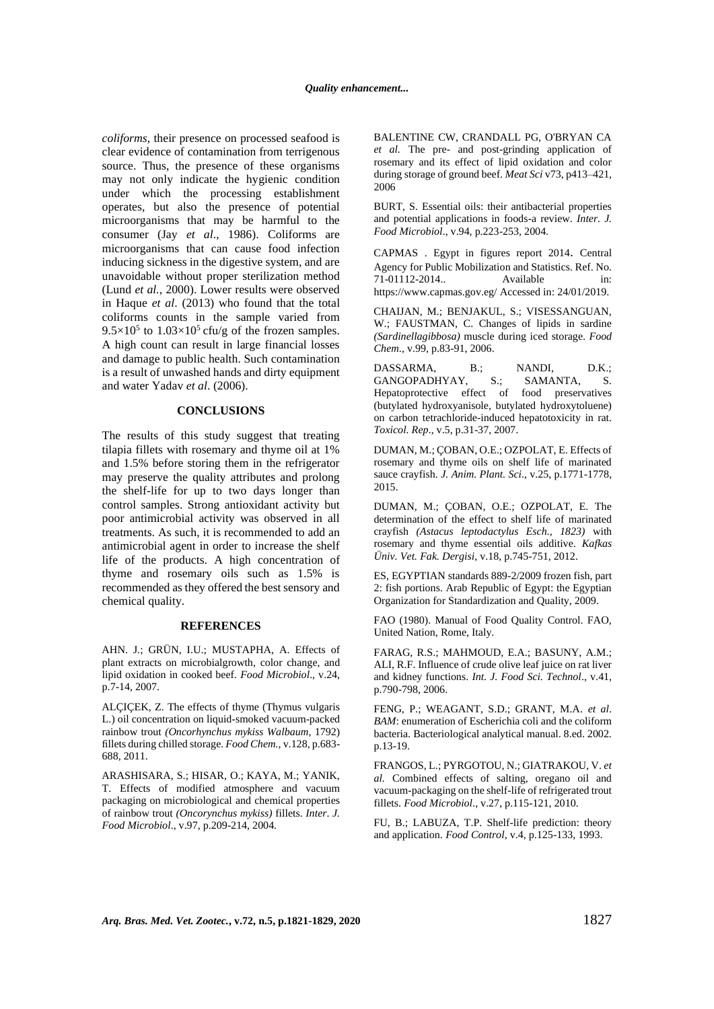*coliforms*, their presence on processed seafood is clear evidence of contamination from terrigenous source. Thus, the presence of these organisms may not only indicate the hygienic condition under which the processing establishment operates, but also the presence of potential microorganisms that may be harmful to the consumer (Jay *et al*., 1986). Coliforms are microorganisms that can cause food infection inducing sickness in the digestive system, and are unavoidable without proper sterilization method (Lund *et al.*, 2000). Lower results were observed in Haque *et al*. (2013) who found that the total coliforms counts in the sample varied from  $9.5 \times 10^5$  to  $1.03 \times 10^5$  cfu/g of the frozen samples. A high count can result in large financial losses and damage to public health. Such contamination is a result of unwashed hands and dirty equipment and water Yadav *et al*. (2006).

### **CONCLUSIONS**

The results of this study suggest that treating tilapia fillets with rosemary and thyme oil at 1% and 1.5% before storing them in the refrigerator may preserve the quality attributes and prolong the shelf-life for up to two days longer than control samples. Strong antioxidant activity but poor antimicrobial activity was observed in all treatments. As such, it is recommended to add an antimicrobial agent in order to increase the shelf life of the products. A high concentration of thyme and rosemary oils such as 1.5% is recommended as they offered the best sensory and chemical quality.

#### **REFERENCES**

AHN. J.; GRÜN, I.U.; MUSTAPHA, A. Effects of plant extracts on microbialgrowth, color change, and lipid oxidation in cooked beef. *Food Microbiol*., v.24, p.7-14, 2007.

ALÇIÇEK, Z. The effects of thyme (Thymus vulgaris L.) oil concentration on liquid-smoked vacuum-packed rainbow trout *(Oncorhynchus mykiss Walbaum*, 1792) fillets during chilled storage. *Food Chem.,* v.128, p.683- 688, 2011.

ARASHISARA, S.; HISAR, O.; KAYA, M.; YANIK, T. Effects of modified atmosphere and vacuum packaging on microbiological and chemical properties of rainbow trout *(Oncorynchus mykiss)* fillets. *Inter*. *J. Food Microbiol*., v.97, p.209-214, 2004.

BALENTINE CW, CRANDALL PG, O'BRYAN CA *et al.* The pre- and post-grinding application of rosemary and its effect of lipid oxidation and color during storage of ground beef. *Meat Sci* v73, p413–421, 2006

BURT, S. Essential oils: their antibacterial properties and potential applications in foods-a review. *Inter. J. Food Microbiol*., v.94, p.223-253, 2004.

CAPMAS . Egypt in figures report 2014. Central Agency for Public Mobilization and Statistics. Ref. No. 71-01112-2014.. Available in: https://www.capmas.gov.eg/ Accessed in: 24/01/2019.

CHAIJAN, M.; BENJAKUL, S.; VISESSANGUAN, W.; FAUSTMAN, C. Changes of lipids in sardine *(Sardinellagibbosa)* muscle during iced storage. *Food Chem*., v.99, p.83-91, 2006.

DASSARMA, B.; NANDI, D.K.; GANGOPADHYAY, S.; SAMANTA, S. Hepatoprotective effect of food preservatives (butylated hydroxyanisole, butylated hydroxytoluene) on carbon tetrachloride-induced hepatotoxicity in rat. *Toxicol. Rep*., v.5, p.31-37, 2007.

DUMAN, M.; ÇOBAN, O.E.; OZPOLAT, E. Effects of rosemary and thyme oils on shelf life of marinated sauce crayfish. *J. Anim. Plant. Sci*., v.25, p.1771-1778, 2015.

DUMAN, M.; ÇOBAN, O.E.; OZPOLAT, E. The determination of the effect to shelf life of marinated crayfish *(Astacus leptodactylus Esch., 1823)* with rosemary and thyme essential oils additive. *Kafkas Üniv. Vet. Fak. Dergisi*, v.18, p.745-751, 2012.

ES, EGYPTIAN standards 889-2/2009 frozen fish, part 2: fish portions. Arab Republic of Egypt: the Egyptian Organization for Standardization and Quality, 2009.

FAO (1980). Manual of Food Quality Control. FAO, United Nation, Rome, Italy.

FARAG, R.S.; MAHMOUD, E.A.; BASUNY, A.M.; ALI, R.F. Influence of crude olive leaf juice on rat liver and kidney functions. *Int. J. Food Sci. Technol*., v.41, p.790-798, 2006.

FENG, P.; WEAGANT, S.D.; GRANT, M.A. *et al*. *BAM*: enumeration of Escherichia coli and the coliform bacteria. Bacteriological analytical manual. 8.ed. 2002. p.13-19.

FRANGOS, L.; PYRGOTOU, N.; GIATRAKOU, V. *et al.* Combined effects of salting, oregano oil and vacuum-packaging on the shelf-life of refrigerated trout fillets. *Food Microbiol*., v.27, p.115-121, 2010.

FU, B.; LABUZA, T.P. Shelf-life prediction: theory and application. *Food Control*, v.4, p.125-133, 1993.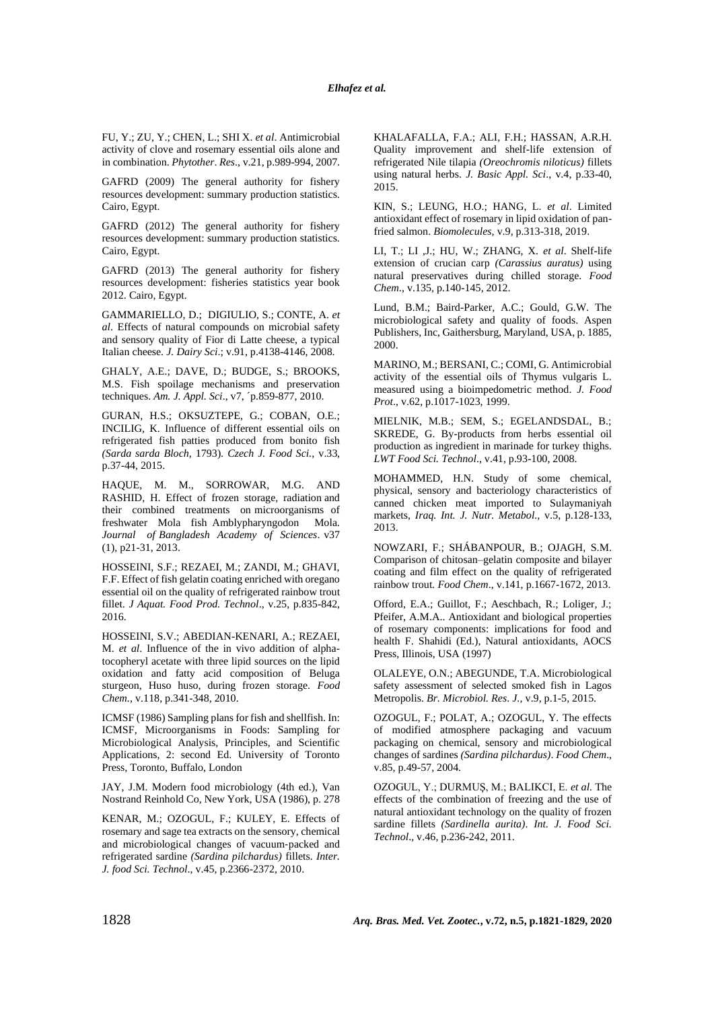FU, Y.; ZU, Y.; CHEN, L.; SHI X. *et al*. Antimicrobial activity of clove and rosemary essential oils alone and in combination. *Phytother*. *Res*., v.21, p.989-994, 2007.

GAFRD (2009) The general authority for fishery resources development: summary production statistics. Cairo, Egypt.

GAFRD (2012) The general authority for fishery resources development: summary production statistics. Cairo, Egypt.

GAFRD (2013) The general authority for fishery resources development: fisheries statistics year book 2012. Cairo, Egypt.

GAMMARIELLO, D.; DIGIULIO, S.; CONTE, A. *et al*. Effects of natural compounds on microbial safety and sensory quality of Fior di Latte cheese, a typical Italian cheese. *J. Dairy Sci*.; v.91, p.4138-4146, 2008.

GHALY, A.E.; DAVE, D.; BUDGE, S.; BROOKS, M.S. Fish spoilage mechanisms and preservation techniques. *Am. J. Appl. Sci*., v7, ´p.859-877, 2010.

GURAN, H.S.; OKSUZTEPE, G.; COBAN, O.E.; INCILIG, K. Influence of different essential oils on refrigerated fish patties produced from bonito fish *(Sarda sarda Bloch,* 1793). *Czech J. Food Sci.,* v.33, p.37-44, 2015.

HAQUE, M. M., SORROWAR, M.G. AND RASHID, H. Effect of frozen storage, radiation and their combined treatments on microorganisms of freshwater Mola fish Amblypharyngodon Mola. *Journal of Bangladesh Academy of Sciences*. v37 (1), p21-31, 2013.

HOSSEINI, S.F.; REZAEI, M.; ZANDI, M.; GHAVI, F.F. Effect of fish gelatin coating enriched with oregano essential oil on the quality of refrigerated rainbow trout fillet. *J Aquat. Food Prod. Technol*., v.25, p.835-842, 2016.

HOSSEINI, S.V.; ABEDIAN-KENARI, A.; REZAEI, M. *et al*. Influence of the in vivo addition of alphatocopheryl acetate with three lipid sources on the lipid oxidation and fatty acid composition of Beluga sturgeon, Huso huso, during frozen storage. *Food Chem.,* v.118, p.341-348, 2010.

ICMSF (1986) Sampling plans for fish and shellfish. In: ICMSF, Microorganisms in Foods: Sampling for Microbiological Analysis, Principles, and Scientific Applications, 2: second Ed. University of Toronto Press, Toronto, Buffalo, London

JAY, J.M. Modern food microbiology (4th ed.), Van Nostrand Reinhold Co, New York, USA (1986), p. 278

KENAR, M.; OZOGUL, F.; KULEY, E. Effects of rosemary and sage tea extracts on the sensory, chemical and microbiological changes of vacuum‐packed and refrigerated sardine *(Sardina pilchardus)* fillets. *Inter. J. food Sci. Technol*., v.45, p.2366-2372, 2010.

KHALAFALLA, F.A.; ALI, F.H.; HASSAN, A.R.H. Quality improvement and shelf-life extension of refrigerated Nile tilapia *(Oreochromis niloticus)* fillets using natural herbs. *J. Basic Appl. Sci*., v.4, p.33-40, 2015.

KIN, S.; LEUNG, H.O.; HANG, L. *et al*. Limited antioxidant effect of rosemary in lipid oxidation of panfried salmon. *Biomolecules,* v.9, p.313-318, 2019.

LI, T.; LI ,J.; HU, W.; ZHANG, X. *et al*. Shelf-life extension of crucian carp *(Carassius auratus)* using natural preservatives during chilled storage. *Food Chem*., v.135, p.140-145, 2012.

Lund, B.M.; Baird-Parker, A.C.; Gould, G.W. The microbiological safety and quality of foods. Aspen Publishers, Inc, Gaithersburg, Maryland, USA, p. 1885, 2000.

MARINO, M.; BERSANI, C.; COMI, G. Antimicrobial activity of the essential oils of Thymus vulgaris L. measured using a bioimpedometric method. *J. Food Prot*., v.62, p.1017-1023, 1999.

MIELNIK, M.B.; SEM, S.; EGELANDSDAL, B.; SKREDE, G. By-products from herbs essential oil production as ingredient in marinade for turkey thighs. *LWT Food Sci. Technol*., v.41, p.93-100, 2008.

MOHAMMED, H.N. Study of some chemical, physical, sensory and bacteriology characteristics of canned chicken meat imported to Sulaymaniyah markets, *Iraq. Int. J. Nutr. Metabol.,* v.5, p.128-133, 2013.

NOWZARI, F.; SHÁBANPOUR, B.; OJAGH, S.M. Comparison of chitosan–gelatin composite and bilayer coating and film effect on the quality of refrigerated rainbow trout*. Food Chem*., v.141, p.1667-1672, 2013.

Offord, E.A.; Guillot, F.; Aeschbach, R.; Loliger, J.; Pfeifer, A.M.A.. Antioxidant and biological properties of rosemary components: implications for food and health F. Shahidi (Ed.), Natural antioxidants, AOCS Press, Illinois, USA (1997)

OLALEYE, O.N.; ABEGUNDE, T.A. Microbiological safety assessment of selected smoked fish in Lagos Metropolis. *Br. Microbiol. Res*. *J.,* v.9, p.1-5, 2015.

OZOGUL, F.; POLAT, A.; OZOGUL, Y. The effects of modified atmosphere packaging and vacuum packaging on chemical, sensory and microbiological changes of sardines *(Sardina pilchardus)*. *Food Chem*., v.85, p.49-57, 2004.

OZOGUL, Y.; DURMUŞ, M.; BALIKCI, E. *et al.* The effects of the combination of freezing and the use of natural antioxidant technology on the quality of frozen sardine fillets *(Sardinella aurita)*. *Int. J. Food Sci. Technol*., v.46, p.236-242, 2011.